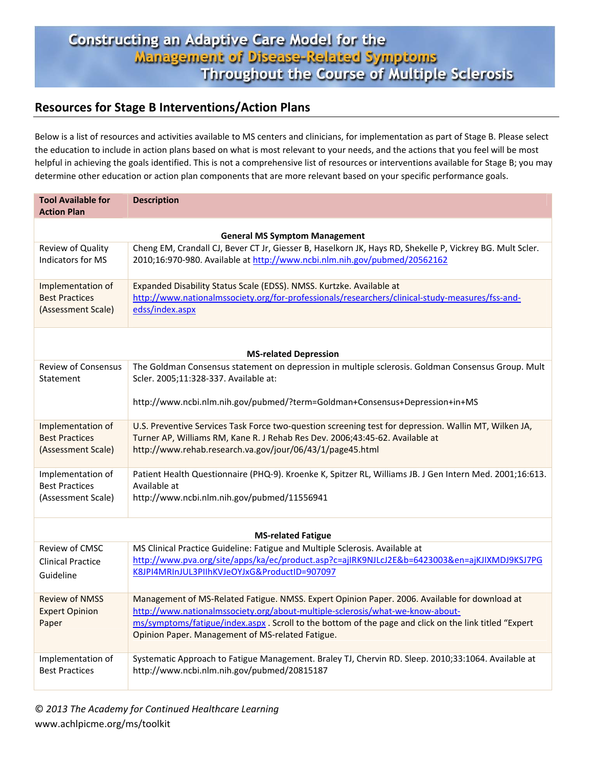## Constructing an Adaptive Care Model for the Management of Disease-Related Symptoms Throughout the Course of Multiple Sclerosis

## **Resources for Stage B Interventions/Action Plans**

Below is a list of resources and activities available to MS centers and clinicians, for implementation as part of Stage B. Please select the education to include in action plans based on what is most relevant to your needs, and the actions that you feel will be most helpful in achieving the goals identified. This is not a comprehensive list of resources or interventions available for Stage B; you may determine other education or action plan components that are more relevant based on your specific performance goals.

| <b>Tool Available for</b><br><b>Action Plan</b>         | <b>Description</b>                                                                                                                                                                                                                                                                                                                           |  |
|---------------------------------------------------------|----------------------------------------------------------------------------------------------------------------------------------------------------------------------------------------------------------------------------------------------------------------------------------------------------------------------------------------------|--|
| <b>General MS Symptom Management</b>                    |                                                                                                                                                                                                                                                                                                                                              |  |
| Review of Quality                                       | Cheng EM, Crandall CJ, Bever CT Jr, Giesser B, Haselkorn JK, Hays RD, Shekelle P, Vickrey BG. Mult Scler.                                                                                                                                                                                                                                    |  |
| <b>Indicators for MS</b>                                | 2010;16:970-980. Available at http://www.ncbi.nlm.nih.gov/pubmed/20562162                                                                                                                                                                                                                                                                    |  |
| Implementation of                                       | Expanded Disability Status Scale (EDSS). NMSS. Kurtzke. Available at                                                                                                                                                                                                                                                                         |  |
| <b>Best Practices</b>                                   | http://www.nationalmssociety.org/for-professionals/researchers/clinical-study-measures/fss-and-                                                                                                                                                                                                                                              |  |
| (Assessment Scale)                                      | edss/index.aspx                                                                                                                                                                                                                                                                                                                              |  |
| <b>MS-related Depression</b>                            |                                                                                                                                                                                                                                                                                                                                              |  |
| <b>Review of Consensus</b><br>Statement                 | The Goldman Consensus statement on depression in multiple sclerosis. Goldman Consensus Group. Mult<br>Scler. 2005;11:328-337. Available at:<br>http://www.ncbi.nlm.nih.gov/pubmed/?term=Goldman+Consensus+Depression+in+MS                                                                                                                   |  |
| Implementation of                                       | U.S. Preventive Services Task Force two-question screening test for depression. Wallin MT, Wilken JA,                                                                                                                                                                                                                                        |  |
| <b>Best Practices</b>                                   | Turner AP, Williams RM, Kane R. J Rehab Res Dev. 2006;43:45-62. Available at                                                                                                                                                                                                                                                                 |  |
| (Assessment Scale)                                      | http://www.rehab.research.va.gov/jour/06/43/1/page45.html                                                                                                                                                                                                                                                                                    |  |
| Implementation of                                       | Patient Health Questionnaire (PHQ-9). Kroenke K, Spitzer RL, Williams JB. J Gen Intern Med. 2001;16:613.                                                                                                                                                                                                                                     |  |
| <b>Best Practices</b>                                   | Available at                                                                                                                                                                                                                                                                                                                                 |  |
| (Assessment Scale)                                      | http://www.ncbi.nlm.nih.gov/pubmed/11556941                                                                                                                                                                                                                                                                                                  |  |
| <b>MS-related Fatigue</b>                               |                                                                                                                                                                                                                                                                                                                                              |  |
| Review of CMSC                                          | MS Clinical Practice Guideline: Fatigue and Multiple Sclerosis. Available at                                                                                                                                                                                                                                                                 |  |
| <b>Clinical Practice</b>                                | http://www.pva.org/site/apps/ka/ec/product.asp?c=ajlRK9NJLcJ2E&b=6423003&en=ajKJIXMDJ9KSJ7PG                                                                                                                                                                                                                                                 |  |
| Guideline                                               | K8JPI4MRInJUL3PIIhKVJeOYJxG&ProductID=907097                                                                                                                                                                                                                                                                                                 |  |
| <b>Review of NMSS</b><br><b>Expert Opinion</b><br>Paper | Management of MS-Related Fatigue. NMSS. Expert Opinion Paper. 2006. Available for download at<br>http://www.nationalmssociety.org/about-multiple-sclerosis/what-we-know-about-<br>ms/symptoms/fatigue/index.aspx . Scroll to the bottom of the page and click on the link titled "Expert<br>Opinion Paper. Management of MS-related Fatigue. |  |
| Implementation of                                       | Systematic Approach to Fatigue Management. Braley TJ, Chervin RD. Sleep. 2010;33:1064. Available at                                                                                                                                                                                                                                          |  |
| <b>Best Practices</b>                                   | http://www.ncbi.nlm.nih.gov/pubmed/20815187                                                                                                                                                                                                                                                                                                  |  |